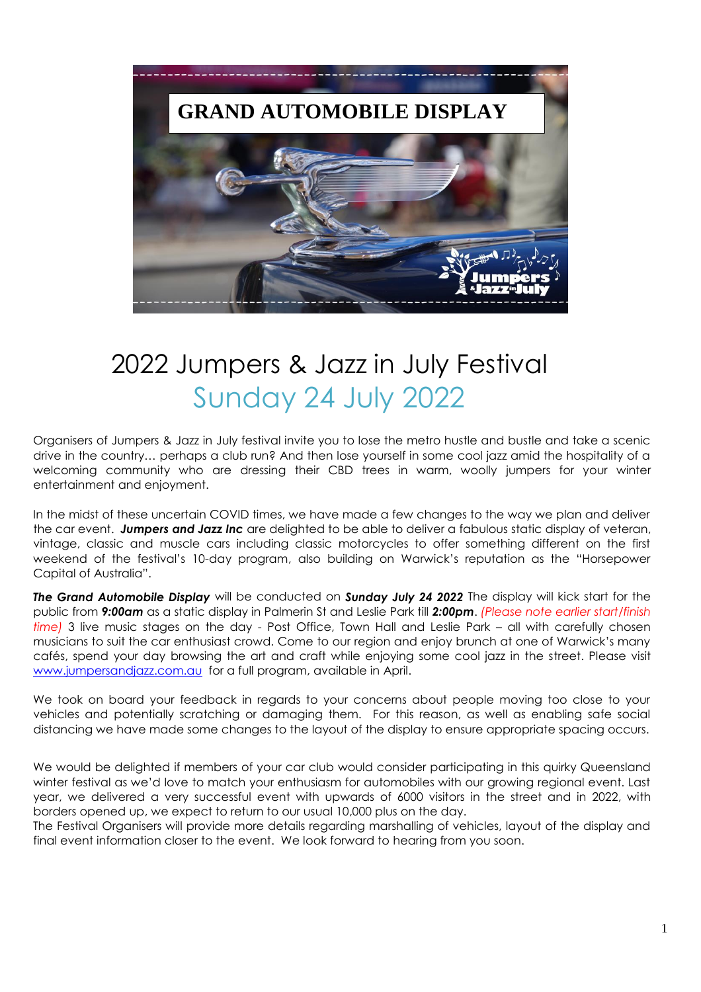

## 2022 Jumpers & Jazz in July Festival Sunday 24 July 2022

Organisers of Jumpers & Jazz in July festival invite you to lose the metro hustle and bustle and take a scenic drive in the country… perhaps a club run? And then lose yourself in some cool jazz amid the hospitality of a welcoming community who are dressing their CBD trees in warm, woolly jumpers for your winter entertainment and enjoyment.

In the midst of these uncertain COVID times, we have made a few changes to the way we plan and deliver the car event. *Jumpers and Jazz Inc* are delighted to be able to deliver a fabulous static display of veteran, vintage, classic and muscle cars including classic motorcycles to offer something different on the first weekend of the festival's 10-day program, also building on Warwick's reputation as the "Horsepower Capital of Australia".

*The Grand Automobile Display* will be conducted on *Sunday July 24 2022* The display will kick start for the public from *9:00am* as a static display in Palmerin St and Leslie Park till *2:00pm*. *(Please note earlier start/finish time)* 3 live music stages on the day - Post Office, Town Hall and Leslie Park – all with carefully chosen musicians to suit the car enthusiast crowd. Come to our region and enjoy brunch at one of Warwick's many cafés, spend your day browsing the art and craft while enjoying some cool jazz in the street. Please visit [www.jumpersandjazz.com.au](http://www.jumpersandjazz.com.au/) for a full program, available in April.

We took on board your feedback in regards to your concerns about people moving too close to your vehicles and potentially scratching or damaging them. For this reason, as well as enabling safe social distancing we have made some changes to the layout of the display to ensure appropriate spacing occurs.

We would be delighted if members of your car club would consider participating in this quirky Queensland winter festival as we'd love to match your enthusiasm for automobiles with our growing regional event. Last year, we delivered a very successful event with upwards of 6000 visitors in the street and in 2022, with borders opened up, we expect to return to our usual 10,000 plus on the day.

The Festival Organisers will provide more details regarding marshalling of vehicles, layout of the display and final event information closer to the event. We look forward to hearing from you soon.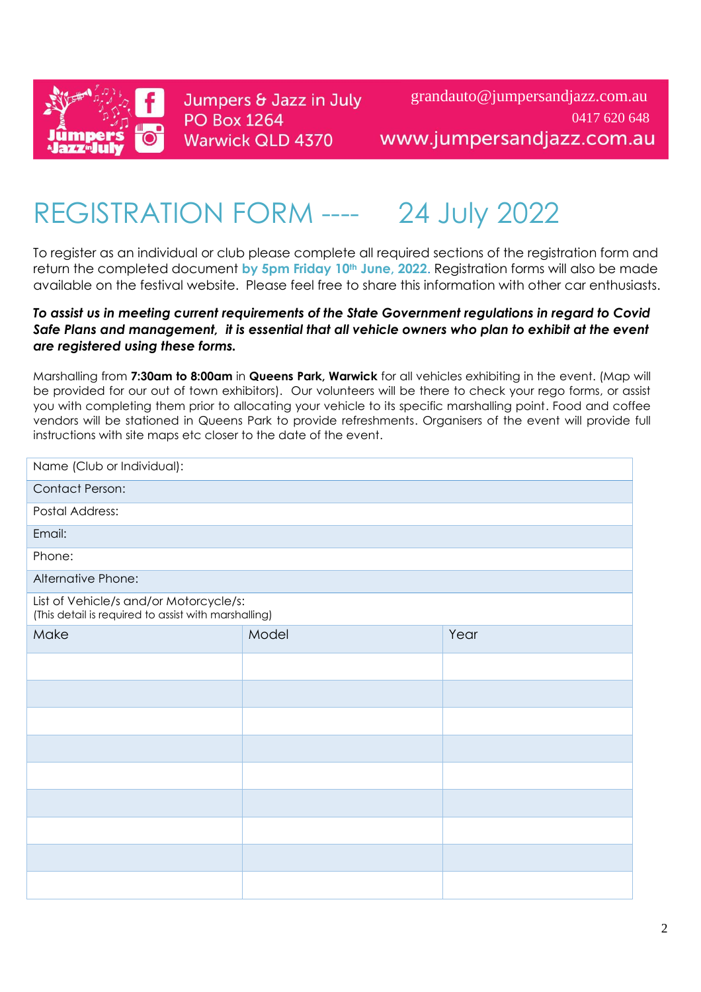

Jumpers & Jazz in July **PO Box 1264 Warwick QLD 4370** 

grandauto@jumpersandjazz.com.au 0417 620 648www.jumpersandjazz.com.au

# REGISTRATION FORM ---- 24 July 2022

To register as an individual or club please complete all required sections of the registration form and return the completed document **by 5pm Friday 10th June, 2022**. Registration forms will also be made available on the festival website. Please feel free to share this information with other car enthusiasts.

#### *To assist us in meeting current requirements of the State Government regulations in regard to Covid Safe Plans and management, it is essential that all vehicle owners who plan to exhibit at the event are registered using these forms.*

Marshalling from **7:30am to 8:00am** in **Queens Park, Warwick** for all vehicles exhibiting in the event. (Map will be provided for our out of town exhibitors). Our volunteers will be there to check your rego forms, or assist you with completing them prior to allocating your vehicle to its specific marshalling point. Food and coffee vendors will be stationed in Queens Park to provide refreshments. Organisers of the event will provide full instructions with site maps etc closer to the date of the event.

| Name (Club or Individual):                                                                     |       |      |  |
|------------------------------------------------------------------------------------------------|-------|------|--|
| <b>Contact Person:</b>                                                                         |       |      |  |
| <b>Postal Address:</b>                                                                         |       |      |  |
| Email:                                                                                         |       |      |  |
| Phone:                                                                                         |       |      |  |
| Alternative Phone:                                                                             |       |      |  |
| List of Vehicle/s and/or Motorcycle/s:<br>(This detail is required to assist with marshalling) |       |      |  |
| Make                                                                                           | Model | Year |  |
|                                                                                                |       |      |  |
|                                                                                                |       |      |  |
|                                                                                                |       |      |  |
|                                                                                                |       |      |  |
|                                                                                                |       |      |  |
|                                                                                                |       |      |  |
|                                                                                                |       |      |  |
|                                                                                                |       |      |  |
|                                                                                                |       |      |  |